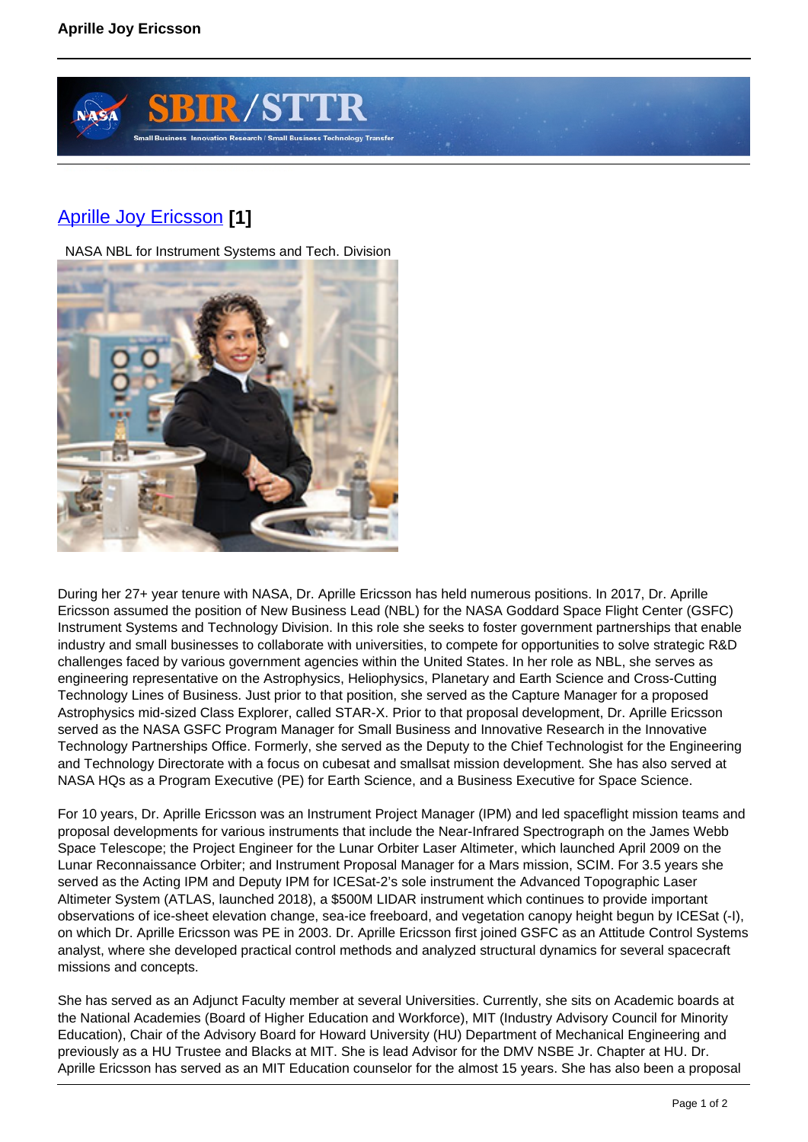

## [Aprille Joy Ericsson](https://sbir.gsfc.nasa.gov/content/aprille-joy-ericsson) **[1]**

NASA NBL for Instrument Systems and Tech. Division



During her 27+ year tenure with NASA, Dr. Aprille Ericsson has held numerous positions. In 2017, Dr. Aprille Ericsson assumed the position of New Business Lead (NBL) for the NASA Goddard Space Flight Center (GSFC) Instrument Systems and Technology Division. In this role she seeks to foster government partnerships that enable industry and small businesses to collaborate with universities, to compete for opportunities to solve strategic R&D challenges faced by various government agencies within the United States. In her role as NBL, she serves as engineering representative on the Astrophysics, Heliophysics, Planetary and Earth Science and Cross-Cutting Technology Lines of Business. Just prior to that position, she served as the Capture Manager for a proposed Astrophysics mid-sized Class Explorer, called STAR-X. Prior to that proposal development, Dr. Aprille Ericsson served as the NASA GSFC Program Manager for Small Business and Innovative Research in the Innovative Technology Partnerships Office. Formerly, she served as the Deputy to the Chief Technologist for the Engineering and Technology Directorate with a focus on cubesat and smallsat mission development. She has also served at NASA HQs as a Program Executive (PE) for Earth Science, and a Business Executive for Space Science.

For 10 years, Dr. Aprille Ericsson was an Instrument Project Manager (IPM) and led spaceflight mission teams and proposal developments for various instruments that include the Near-Infrared Spectrograph on the James Webb Space Telescope; the Project Engineer for the Lunar Orbiter Laser Altimeter, which launched April 2009 on the Lunar Reconnaissance Orbiter; and Instrument Proposal Manager for a Mars mission, SCIM. For 3.5 years she served as the Acting IPM and Deputy IPM for ICESat-2's sole instrument the Advanced Topographic Laser Altimeter System (ATLAS, launched 2018), a \$500M LIDAR instrument which continues to provide important observations of ice-sheet elevation change, sea-ice freeboard, and vegetation canopy height begun by ICESat (-I), on which Dr. Aprille Ericsson was PE in 2003. Dr. Aprille Ericsson first joined GSFC as an Attitude Control Systems analyst, where she developed practical control methods and analyzed structural dynamics for several spacecraft missions and concepts.

She has served as an Adjunct Faculty member at several Universities. Currently, she sits on Academic boards at the National Academies (Board of Higher Education and Workforce), MIT (Industry Advisory Council for Minority Education), Chair of the Advisory Board for Howard University (HU) Department of Mechanical Engineering and previously as a HU Trustee and Blacks at MIT. She is lead Advisor for the DMV NSBE Jr. Chapter at HU. Dr. Aprille Ericsson has served as an MIT Education counselor for the almost 15 years. She has also been a proposal